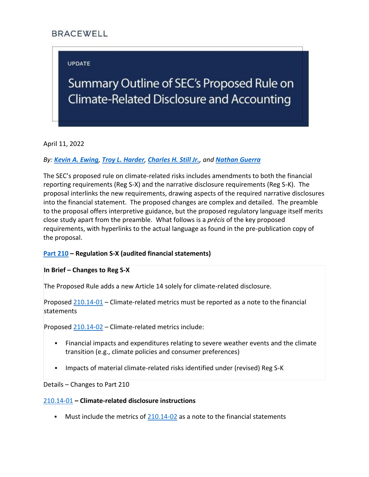# **BRACEWELL**

# **UPDATE**

# Summary Outline of SEC's Proposed Rule on Climate-Related Disclosure and Accounting

April 11, 2022

# *By: [Kevin A. Ewing](https://bracewell.com/people/kevin-ewing), [Troy L. Harder](https://bracewell.com/people/troy-l-harder), [Charles H. Still Jr.](https://bracewell.com/people/charles-h-still-jr), and [Nathan Guerra](https://bracewell.com/people/nathan-guerra)*

The SEC's proposed rule on climate-related risks includes amendments to both the financial reporting requirements (Reg S-X) and the narrative disclosure requirements (Reg S-K). The proposal interlinks the new requirements, drawing aspects of the required narrative disclosures into the financial statement. The proposed changes are complex and detailed. The preamble to the proposal offers interpretive guidance, but the proposed regulatory language itself merits close study apart from the preamble. What follows is a *précis* of the key proposed requirements, with hyperlinks to the actual language as found in the pre-publication copy of the proposal.

# **[Part 210](https://www.federalregister.gov/documents/2022/04/11/2022-06342/the-enhancement-and-standardization-of-climate-related-disclosures-for-investors#sectno-citation-210.8-01) – Regulation S-X (audited financial statements)**

# **In Brief – Changes to Reg S-X**

The Proposed Rule adds a new Article 14 solely for climate-related disclosure.

Proposed [210.14-01](https://www.federalregister.gov/documents/2022/04/11/2022-06342/the-enhancement-and-standardization-of-climate-related-disclosures-for-investors#sectno-citation-210.14-01) – Climate-related metrics must be reported as a note to the financial statements

Proposed [210.14-02](https://www.federalregister.gov/documents/2022/04/11/2022-06342/the-enhancement-and-standardization-of-climate-related-disclosures-for-investors#sectno-citation-210.14-02) – Climate-related metrics include:

- Financial impacts and expenditures relating to severe weather events and the climate transition (e.g., climate policies and consumer preferences)
- Impacts of material climate-related risks identified under (revised) Reg S-K

Details – Changes to Part 210

# [210.14-01](https://www.federalregister.gov/documents/2022/04/11/2022-06342/the-enhancement-and-standardization-of-climate-related-disclosures-for-investors#sectno-citation-210.14-01) **– Climate-related disclosure instructions**

**■** Must include the metrics of [210.14-02](https://www.federalregister.gov/documents/2022/04/11/2022-06342/the-enhancement-and-standardization-of-climate-related-disclosures-for-investors#sectno-citation-210.14-02) as a note to the financial statements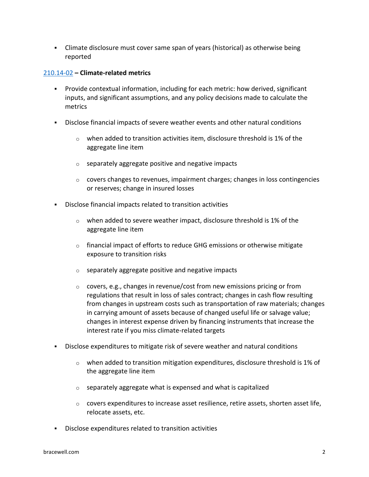▪ Climate disclosure must cover same span of years (historical) as otherwise being reported

# [210.14-02](https://www.federalregister.gov/documents/2022/04/11/2022-06342/the-enhancement-and-standardization-of-climate-related-disclosures-for-investors#sectno-citation-210.14-02) **– Climate-related metrics**

- Provide contextual information, including for each metric: how derived, significant inputs, and significant assumptions, and any policy decisions made to calculate the metrics
- Disclose financial impacts of severe weather events and other natural conditions
	- $\circ$  when added to transition activities item, disclosure threshold is 1% of the aggregate line item
	- $\circ$  separately aggregate positive and negative impacts
	- $\circ$  covers changes to revenues, impairment charges; changes in loss contingencies or reserves; change in insured losses
- Disclose financial impacts related to transition activities
	- $\circ$  when added to severe weather impact, disclosure threshold is 1% of the aggregate line item
	- $\circ$  financial impact of efforts to reduce GHG emissions or otherwise mitigate exposure to transition risks
	- $\circ$  separately aggregate positive and negative impacts
	- $\circ$  covers, e.g., changes in revenue/cost from new emissions pricing or from regulations that result in loss of sales contract; changes in cash flow resulting from changes in upstream costs such as transportation of raw materials; changes in carrying amount of assets because of changed useful life or salvage value; changes in interest expense driven by financing instruments that increase the interest rate if you miss climate-related targets
- Disclose expenditures to mitigate risk of severe weather and natural conditions
	- $\circ$  when added to transition mitigation expenditures, disclosure threshold is 1% of the aggregate line item
	- $\circ$  separately aggregate what is expensed and what is capitalized
	- $\circ$  covers expenditures to increase asset resilience, retire assets, shorten asset life, relocate assets, etc.
- Disclose expenditures related to transition activities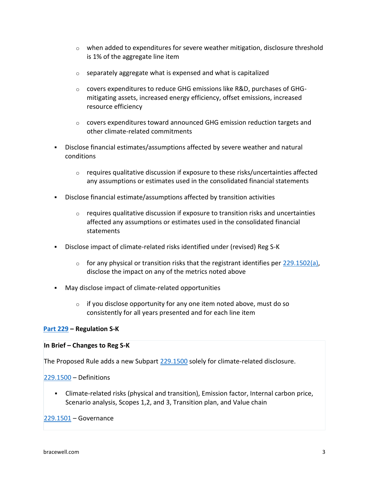- $\circ$  when added to expenditures for severe weather mitigation, disclosure threshold is 1% of the aggregate line item
- $\circ$  separately aggregate what is expensed and what is capitalized
- o covers expenditures to reduce GHG emissions like R&D, purchases of GHGmitigating assets, increased energy efficiency, offset emissions, increased resource efficiency
- o covers expenditures toward announced GHG emission reduction targets and other climate-related commitments
- Disclose financial estimates/assumptions affected by severe weather and natural conditions
	- $\circ$  requires qualitative discussion if exposure to these risks/uncertainties affected any assumptions or estimates used in the consolidated financial statements
- Disclose financial estimate/assumptions affected by transition activities
	- $\circ$  requires qualitative discussion if exposure to transition risks and uncertainties affected any assumptions or estimates used in the consolidated financial statements
- Disclose impact of climate-related risks identified under (revised) Reg S-K
	- $\circ$  for any physical or transition risks that the registrant identifies per [229.1502\(a\),](https://www.federalregister.gov/documents/2022/04/11/2022-06342/the-enhancement-and-standardization-of-climate-related-disclosures-for-investors#sectno-reference-229.1502) disclose the impact on any of the metrics noted above
- May disclose impact of climate-related opportunities
	- $\circ$  if you disclose opportunity for any one item noted above, must do so consistently for all years presented and for each line item

# **[Part 229](https://www.federalregister.gov/documents/2022/04/11/2022-06342/the-enhancement-and-standardization-of-climate-related-disclosures-for-investors#sectno-citation-229.1500) – Regulation S-K**

#### **In Brief – Changes to Reg S-K**

The Proposed Rule adds a new Subpart [229.1500](https://www.federalregister.gov/documents/2022/04/11/2022-06342/the-enhancement-and-standardization-of-climate-related-disclosures-for-investors#sectno-citation-229.1500) solely for climate-related disclosure.

#### [229.1500](https://www.federalregister.gov/documents/2022/04/11/2022-06342/the-enhancement-and-standardization-of-climate-related-disclosures-for-investors#sectno-citation-229.1500) – Definitions

▪ Climate-related risks (physical and transition), Emission factor, Internal carbon price, Scenario analysis, Scopes 1,2, and 3, Transition plan, and Value chain

#### [229.1501](https://www.federalregister.gov/documents/2022/04/11/2022-06342/the-enhancement-and-standardization-of-climate-related-disclosures-for-investors#sectno-reference-229.1501) – Governance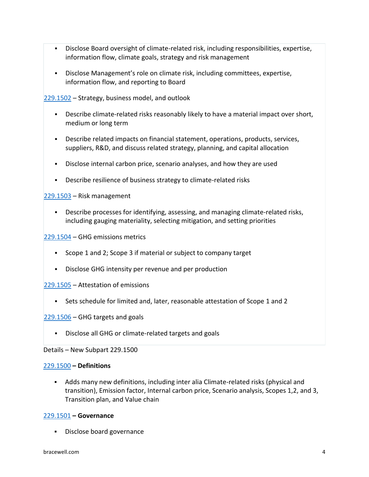- Disclose Board oversight of climate-related risk, including responsibilities, expertise, information flow, climate goals, strategy and risk management
- Disclose Management's role on climate risk, including committees, expertise, information flow, and reporting to Board

[229.1502](https://www.federalregister.gov/documents/2022/04/11/2022-06342/the-enhancement-and-standardization-of-climate-related-disclosures-for-investors#sectno-reference-229.1502) – Strategy, business model, and outlook

- **•** Describe climate-related risks reasonably likely to have a material impact over short, medium or long term
- Describe related impacts on financial statement, operations, products, services, suppliers, R&D, and discuss related strategy, planning, and capital allocation
- Disclose internal carbon price, scenario analyses, and how they are used
- Describe resilience of business strategy to climate-related risks

[229.1503](https://www.federalregister.gov/documents/2022/04/11/2022-06342/the-enhancement-and-standardization-of-climate-related-disclosures-for-investors#sectno-reference-229.1503) – Risk management

**•** Describe processes for identifying, assessing, and managing climate-related risks, including gauging materiality, selecting mitigation, and setting priorities

[229.1504](https://www.federalregister.gov/documents/2022/04/11/2022-06342/the-enhancement-and-standardization-of-climate-related-disclosures-for-investors#sectno-reference-229.1504) – GHG emissions metrics

- Scope 1 and 2; Scope 3 if material or subject to company target
- Disclose GHG intensity per revenue and per production

[229.1505](https://www.federalregister.gov/documents/2022/04/11/2022-06342/the-enhancement-and-standardization-of-climate-related-disclosures-for-investors#sectno-reference-229.1505) – Attestation of emissions

▪ Sets schedule for limited and, later, reasonable attestation of Scope 1 and 2

[229.1506](https://www.federalregister.gov/documents/2022/04/11/2022-06342/the-enhancement-and-standardization-of-climate-related-disclosures-for-investors#sectno-reference-229.1506) – GHG targets and goals

▪ Disclose all GHG or climate-related targets and goals

Details – New Subpart 229.1500

# [229.1500](https://www.federalregister.gov/documents/2022/04/11/2022-06342/the-enhancement-and-standardization-of-climate-related-disclosures-for-investors#sectno-citation-229.1500) **– Definitions**

▪ Adds many new definitions, including inter alia Climate-related risks (physical and transition), Emission factor, Internal carbon price, Scenario analysis, Scopes 1,2, and 3, Transition plan, and Value chain

#### [229.1501](https://www.federalregister.gov/documents/2022/04/11/2022-06342/the-enhancement-and-standardization-of-climate-related-disclosures-for-investors#sectno-reference-229.1501) **– Governance**

▪ Disclose board governance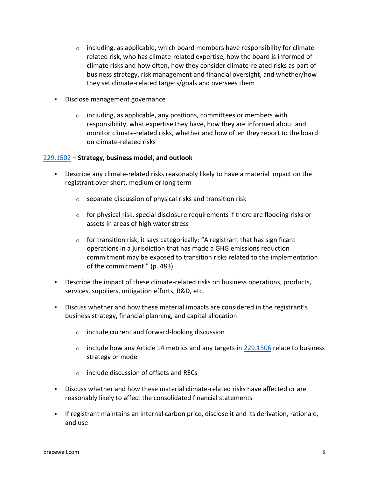- $\circ$  including, as applicable, which board members have responsibility for climaterelated risk, who has climate-related expertise, how the board is informed of climate risks and how often, how they consider climate-related risks as part of business strategy, risk management and financial oversight, and whether/how they set climate-related targets/goals and oversees them
- Disclose management governance
	- $\circ$  including, as applicable, any positions, committees or members with responsibility, what expertise they have, how they are informed about and monitor climate-related risks, whether and how often they report to the board on climate-related risks

# [229.1502](https://www.federalregister.gov/documents/2022/04/11/2022-06342/the-enhancement-and-standardization-of-climate-related-disclosures-for-investors#sectno-reference-229.1502) **– Strategy, business model, and outlook**

- **•** Describe any climate-related risks reasonably likely to have a material impact on the registrant over short, medium or long term
	- o separate discussion of physical risks and transition risk
	- $\circ$  for physical risk, special disclosure requirements if there are flooding risks or assets in areas of high water stress
	- $\circ$  for transition risk, it says categorically: "A registrant that has significant operations in a jurisdiction that has made a GHG emissions reduction commitment may be exposed to transition risks related to the implementation of the commitment." (p. 483)
- **•** Describe the impact of these climate-related risks on business operations, products, services, suppliers, mitigation efforts, R&D, etc.
- Discuss whether and how these material impacts are considered in the registrant's business strategy, financial planning, and capital allocation
	- o include current and forward-looking discussion
	- $\circ$  include how any Article 14 metrics and any targets in [229.1506](https://www.federalregister.gov/documents/2022/04/11/2022-06342/the-enhancement-and-standardization-of-climate-related-disclosures-for-investors#sectno-reference-229.1506) relate to business strategy or mode
	- o include discussion of offsets and RECs
- Discuss whether and how these material climate-related risks have affected or are reasonably likely to affect the consolidated financial statements
- **·** If registrant maintains an internal carbon price, disclose it and its derivation, rationale, and use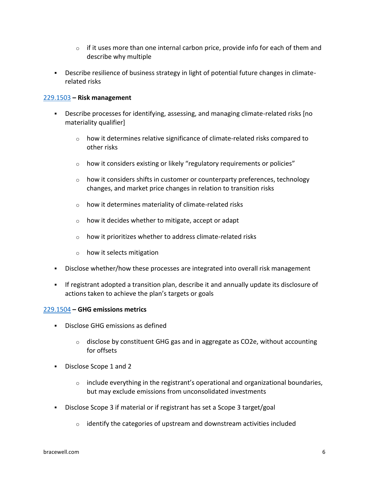- $\circ$  if it uses more than one internal carbon price, provide info for each of them and describe why multiple
- Describe resilience of business strategy in light of potential future changes in climaterelated risks

# [229.1503](https://www.federalregister.gov/documents/2022/04/11/2022-06342/the-enhancement-and-standardization-of-climate-related-disclosures-for-investors#sectno-reference-229.1503) **– Risk management**

- **•** Describe processes for identifying, assessing, and managing climate-related risks [no materiality qualifier]
	- o how it determines relative significance of climate-related risks compared to other risks
	- o how it considers existing or likely "regulatory requirements or policies"
	- $\circ$  how it considers shifts in customer or counterparty preferences, technology changes, and market price changes in relation to transition risks
	- $\circ$  how it determines materiality of climate-related risks
	- $\circ$  how it decides whether to mitigate, accept or adapt
	- $\circ$  how it prioritizes whether to address climate-related risks
	- o how it selects mitigation
- Disclose whether/how these processes are integrated into overall risk management
- If registrant adopted a transition plan, describe it and annually update its disclosure of actions taken to achieve the plan's targets or goals

# [229.1504](https://www.federalregister.gov/documents/2022/04/11/2022-06342/the-enhancement-and-standardization-of-climate-related-disclosures-for-investors#sectno-reference-229.1504) **– GHG emissions metrics**

- Disclose GHG emissions as defined
	- $\circ$  disclose by constituent GHG gas and in aggregate as CO2e, without accounting for offsets
- Disclose Scope 1 and 2
	- $\circ$  include everything in the registrant's operational and organizational boundaries, but may exclude emissions from unconsolidated investments
- Disclose Scope 3 if material or if registrant has set a Scope 3 target/goal
	- $\circ$  identify the categories of upstream and downstream activities included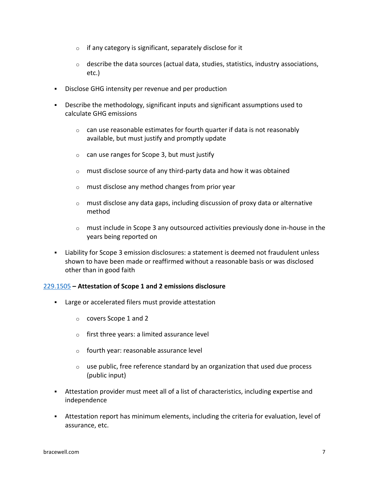- $\circ$  if any category is significant, separately disclose for it
- $\circ$  describe the data sources (actual data, studies, statistics, industry associations, etc.)
- Disclose GHG intensity per revenue and per production
- **•** Describe the methodology, significant inputs and significant assumptions used to calculate GHG emissions
	- $\circ$  can use reasonable estimates for fourth quarter if data is not reasonably available, but must justify and promptly update
	- $\circ$  can use ranges for Scope 3, but must justify
	- o must disclose source of any third-party data and how it was obtained
	- o must disclose any method changes from prior year
	- $\circ$  must disclose any data gaps, including discussion of proxy data or alternative method
	- $\circ$  must include in Scope 3 any outsourced activities previously done in-house in the years being reported on
- Liability for Scope 3 emission disclosures: a statement is deemed not fraudulent unless shown to have been made or reaffirmed without a reasonable basis or was disclosed other than in good faith

# [229.1505](https://www.federalregister.gov/documents/2022/04/11/2022-06342/the-enhancement-and-standardization-of-climate-related-disclosures-for-investors#sectno-reference-229.1505) **– Attestation of Scope 1 and 2 emissions disclosure**

- Large or accelerated filers must provide attestation
	- o covers Scope 1 and 2
	- o first three years: a limited assurance level
	- o fourth year: reasonable assurance level
	- $\circ$  use public, free reference standard by an organization that used due process (public input)
- Attestation provider must meet all of a list of characteristics, including expertise and independence
- **EXECT** Attestation report has minimum elements, including the criteria for evaluation, level of assurance, etc.